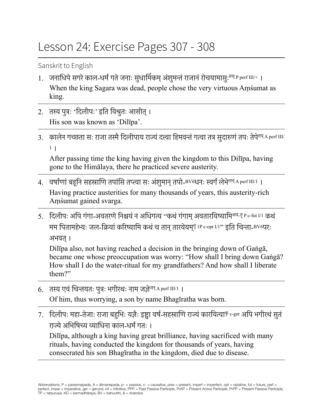## Lesson 24: Exercise Pages 307 - 308

Sanskrit to English

- 1. जनाधिपे सगरे काल-धर्मं गते जनाः सुधार्मिकम् अंशुमन्तं राजानं रोचयामासुः<sup>रुच् p</sup> perf III/+ । When the king Sagara was dead, people chose the very virtuous Aṃśumat as king.
- 2. तस्य पुत्रः 'दिलीपः' इति विश्रुतः आसीत्। His son was known as 'Dilīpa'.
- 3. कालेन गच्छता सः राजा तस्मै दिलीपाय राज्यं दत्त्वा हिमवन्तं गत्वा तत्र सुदारुणं तपः तेपे<sup>तप् A perf III/</sup> <sup>1</sup> ।

After passing time the king having given the kingdom to this Dilīpa, having gone to the Himālaya, there he practiced severe austerity.

- 4. वर्षाणां बहूनि सहस्राणि तपांसि तप्त्वा सः अंशुमान् तपो-BV6धनः स्वर्गं लेभे<sup>लभ् A perf III/1</sup>। Having practice austerities for many thousands of years, this austerity-rich Aṃśumat gained svarga.
- 5. दिलीपः अपि गंगा-अवतरणे निश्चयं न अधिगत्य "कथं गंगाम् अवतारयिष्यामि<sup>अव-तॄ</sup> P c-fut I/1 कथं मम पितामहेभ्यः जल-क्रियां करिष्यामि कथं च तान् तारयेयम्<sup>तॄ</sup> IP c-opt I/1" इति चिन्ता-BV6परः अभवत् ।

Dilipa also, not having reached a decision in the bringing down of Ganga, became one whose preoccupation was worry: "How shall I bring down Ganga? How shall I do the water-ritual for my grandfathers? And how shall I liberate them?"

- 6. तस्य एवं चिन्तयतः पुत्रः भगीरथः नाम जज्ञे<sup>जन् A perf III/1 |</sup> Of him, thus worrying, a son by name Bhagīratha was born.
- 7. दिलीपः महा-तेजाः राजा बहुभिः यज्ञैः इष्ट्वा वर्ष-सहस्राणि राज्यं कारयित्वा<sup>कृ c-ger</sup> अपि भगीरथं सुतं राज्येअभिषिच्य व्याधिना काल-धर्मंगतः ।

Dilīpa, although a king having great brilliance, having sacrificed with many rituals, having conducted the kingdom for thousands of years, having consecrated his son Bhagīratha in the kingdom, died due to disease.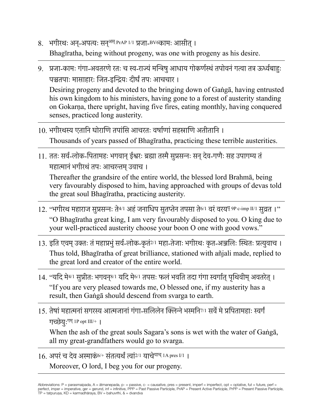- 8. भगीरथः अन्-अपत्यः सन्<sup>अस्</sup> PrAP 1/1 प्रजा-BV6कामः आसीत् । Bhagīratha, being without progeny, was one with progeny as his desire.
- 9. प्रजा-कामः गंगा-अवतरणेरतः च स्व-राज्यंमन्त्रिषुआधाय गोकर्णस्थंतपोवनंगत्वा तत्र ऊर्ध्वबाहुः पञ्चतपाः मासाहारः जित-इन्द्रियः दीर्घंतपः आचचार । Desiring progeny and devoted to the bringing down of Gaṅgā, having entrusted his own kingdom to his ministers, having gone to a forest of austerity standing on Gokarṇa, there upright, having five fires, eating monthly, having conquered
- 10. भगीरथस्य एतानि घोराणि तपांसि आचरतः वर्षाणांसहस्राणि अतीतानि । Thousands of years passed of Bhagīratha, practicing these terrible austerities.

senses, practiced long austerity.

11. ततः सर्व-लोक-पितामहः भगवान्ईश्वरः ब्रह्मा तस्मैसुप्रसन्नः सन्देव-गणैः सह उपागम्य तं महात्मानंभगीरथंतपः आचरन्तम्उवाच ।

Thereafter the grandsire of the entire world, the blessed lord Brahmā, being very favourably disposed to him, having approached with groups of devas told the great soul Bhagīratha, practicing austerity.

- $12.$  "भगीरथ महाराज सुप्रसन्नः ते<sup>4/1</sup> अहं जनाधिप सुतप्तेन तपसा ते<sup>6/1</sup> वरं वरय<sup>वृ 9P c-imp II/1 सुव्रत ।"</sup> "O Bhagīratha great king, I am very favourably disposed to you. O king due to your well-practiced austerity choose your boon O one with good vows."
- 13. इति एवम् उक्तः तं महाप्रभुं सर्व-लोक-कृतं2/1 महा-तेजाः भगीरथः कृत-अञ्जलिः स्थितः प्रत्युवाच । Thus told, Bhagīratha of great brilliance, stationed with añjali made, replied to the great lord and creator of the entire world.
- 14. "यदि मे<sup>4/1</sup> सुप्रीतः भगवनु<sup>8/1</sup> यदि मे<sup>6/1</sup> तपसः फलं भवति तदा गंगा स्वर्गात् पथिवीम् अवतरेत् । "If you are very pleased towards me, O blessed one, if my austerity has a result, then Gaṅgā should descend from svarga to earth.
- 15. तेषां महात्मनां सगरस्य आत्मजानां गंगा-सलिलेन क्लिन्ने भस्मनि<sup>7/1</sup> सर्वे मे प्रपितामहाः स्वर्गं गच्छेयुःगम् 1P opt III/+ ।

When the ash of the great souls Sagara's sons is wet with the water of Gaṅgā, all my great-grandfathers would go to svarga.

16. अपरंच देव अस्माकं6/+ संतत्यर्थंत्वां2/1 याचेयाच् 1A pres I/1 । Moreover, O lord, I beg you for our progeny.